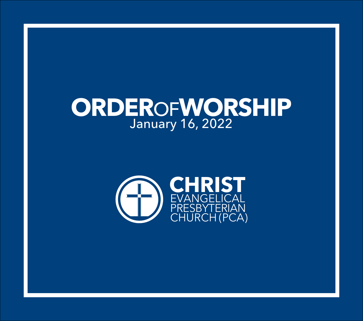# **ORDER**OF**WORSHIP** January 16, 2022

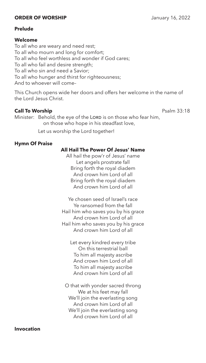# **ORDER OF WORSHIP** January 16, 2022

# **Prelude**

#### **Welcome**

To all who are weary and need rest; To all who mourn and long for comfort; To all who feel worthless and wonder if God cares; To all who fail and desire strength; To all who sin and need a Savior; To all who hunger and thirst for righteousness; And to whoever will come–

This Church opens wide her doors and offers her welcome in the name of the Lord Jesus Christ.

# **Call To Worship** Psalm 33:18

Minister: Behold, the eye of the LORD is on those who fear him, on those who hope in his steadfast love,

Let us worship the Lord together!

# **Hymn Of Praise**

# **All Hail The Power Of Jesus' Name**

All hail the pow'r of Jesus' name Let angels prostrate fall Bring forth the royal diadem And crown him Lord of all Bring forth the royal diadem And crown him Lord of all

Ye chosen seed of Israel's race Ye ransomed from the fall Hail him who saves you by his grace And crown him Lord of all Hail him who saves you by his grace And crown him Lord of all

Let every kindred every tribe On this terrestrial ball To him all majesty ascribe And crown him Lord of all To him all majesty ascribe And crown him Lord of all

O that with yonder sacred throng We at his feet may fall We'll join the everlasting song And crown him Lord of all We'll join the everlasting song And crown him Lord of all

# **Invocation**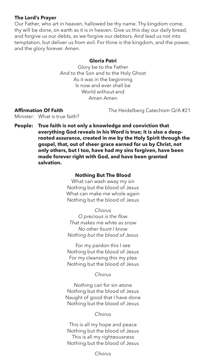# **The Lord's Prayer**

Our Father, who art in heaven, hallowed be thy name. Thy kingdom come, thy will be done, on earth as it is in heaven. Give us this day our daily bread, and forgive us our debts, as we forgive our debtors. And lead us not into temptation, but deliver us from evil. For thine is the kingdom, and the power, and the glory forever. Amen.

#### **Gloria Patri**

Glory be to the Father And to the Son and to the Holy Ghost As it was in the beginning Is now and ever shall be World without end Amen Amen

**Affirmation Of Faith** The Heidelberg Catechism Q/A #21

Minister: What is true faith?

**People: True faith is not only a knowledge and conviction that everything God reveals in his Word is true; it is also a deeprooted assurance, created in me by the Holy Spirit through the gospel, that, out of sheer grace earned for us by Christ, not only others, but I too, have had my sins forgiven, have been made forever right with God, and have been granted salvation.**

# **Nothing But The Blood**

What can wash away my sin Nothing but the blood of Jesus What can make me whole again Nothing but the blood of Jesus

# *Chorus*

*O precious is the flow That makes me white as snow No other fount I know Nothing but the blood of Jesus*

For my pardon this I see Nothing but the blood of Jesus For my cleansing this my plea Nothing but the blood of Jesus

# *Chorus*

Nothing can for sin atone Nothing but the blood of Jesus Naught of good that I have done Nothing but the blood of Jesus

# *Chorus*

This is all my hope and peace Nothing but the blood of Jesus This is all my righteousness Nothing but the blood of Jesus

*Chorus*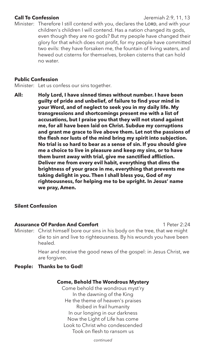**Call To Confession Call To Confession** 

Minister: Therefore I still contend with you, declares the LORD, and with your children's children I will contend. Has a nation changed its gods, even though they are no gods? But my people have changed their glory for that which does not profit, for my people have committed two evils: they have forsaken me, the fountain of living waters, and hewed out cisterns for themselves, broken cisterns that can hold no water.

# **Public Confession**

Minister: Let us confess our sins together.

**All: Holy Lord, I have sinned times without number. I have been guilty of pride and unbelief, of failure to find your mind in your Word, and of neglect to seek you in my daily life. My transgressions and shortcomings present me with a list of accusations, but I praise you that they will not stand against me, for all have been laid on Christ. Subdue my corruptions and grant me grace to live above them. Let not the passions of the flesh nor lusts of the mind bring my spirit into subjection. No trial is so hard to bear as a sense of sin. If you should give me a choice to live in pleasure and keep my sins, or to have them burnt away with trial, give me sanctified affliction. Deliver me from every evil habit, everything that dims the brightness of your grace in me, everything that prevents me taking delight in you. Then I shall bless you, God of my righteousness, for helping me to be upright. In Jesus' name we pray, Amen.**

# **Silent Confession**

# Assurance Of Pardon And Comfort **1 Peter 2:24**

Minister: Christ himself bore our sins in his body on the tree, that we might die to sin and live to righteousness. By his wounds you have been healed.

> Hear and receive the good news of the gospel: in Jesus Christ, we are forgiven.

# **People: Thanks be to God!**

# **Come, Behold The Wondrous Mystery**

Come behold the wondrous myst'ry In the dawning of the King He the theme of heaven's praises Robed in frail humanity In our longing in our darkness Now the Light of Life has come Look to Christ who condescended Took on flesh to ransom us

*continued*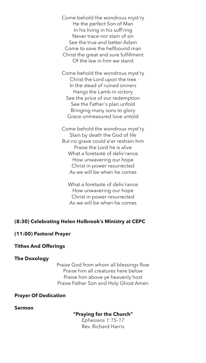Come behold the wondrous myst'ry He the perfect Son of Man In his living in his suff'ring Never trace nor stain of sin See the true and better Adam Come to save the hellbound man Christ the great and sure fulfillment Of the law in him we stand

Come behold the wondrous myst'ry Christ the Lord upon the tree In the stead of ruined sinners Hangs the Lamb in victory See the price of our redemption See the Father's plan unfold Bringing many sons to glory Grace unmeasured love untold

Come behold the wondrous myst'ry Slain by death the God of life But no grave could e'er restrain him Praise the Lord he is alive What a foretaste of deliv'rance How unwavering our hope Christ in power resurrected As we will be when he comes

What a foretaste of deliv'rance How unwavering our hope Christ in power resurrected As we will be when he comes

# **(8:30) Celebrating Helen Holbrook's Ministry at CEPC**

#### **(11:00) Pastoral Prayer**

#### **Tithes And Offerings**

#### **The Doxology**

Praise God from whom all blessings flow Praise him all creatures here below Praise him above ye heavenly host Praise Father Son and Holy Ghost Amen

#### **Prayer Of Dedication**

#### **Sermon**

# **"Praying for the Church"**

*Ephesians 1:15–17* Rev. Richard Harris